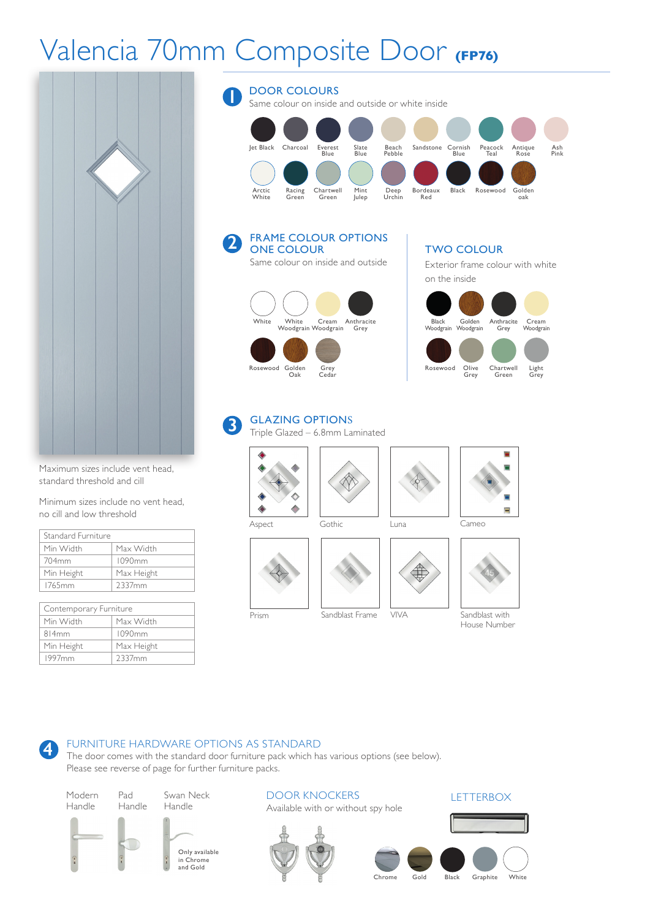# Valencia 70mm Composite Door **(FP76)**



Maximum sizes include vent head, standard threshold and cill

Minimum sizes include no vent head, no cill and low threshold

| Standard Furniture |            |
|--------------------|------------|
| Min Width          | Max Width  |
| 704mm              | 1090mm     |
| Min Height         | Max Height |
| 1765mm             | 2337mm     |

| Contemporary Furniture |            |  |
|------------------------|------------|--|
| Min Width              | Max Width  |  |
| 814mm                  | 1090mm     |  |
| Min Height             | Max Height |  |
| 1997 <sub>mm</sub>     | 2337mm     |  |

**4**

DOOR COLOURS Same colour on inside and outside or white inside Jet Black Charcoal Everest Slate Beach Sandstone Cornish Peacock Antique Ash Blue Blue Pebble Blue Teal Rose Pink Arctic Racing Chartwell Mint Deep Bordeaux Black Rosewood Golden Bordeaux<br>Red **1** White White Cream Anthracite Woodgrain Woodgrain Grey Rosewood Golden Grey Oak Cedar FRAME COLOUR OPTIONS ONE COLOUR Same colour on inside and outside Black Golden Anthracite Cream Woodgrain Woodgrain Grey Woodgrain Rosewood Olive Chartwell Light Grey Green Grey TWO COLOUR Exterior frame colour with white on the inside **2**

#### GLAZING OPTIONS **3**

Triple Glazed – 6.8mm Laminated













VIVA Sandblast with House Number

Prism Sandblast Frame



FURNITURE HARDWARE OPTIONS AS STANDARD The door comes with the standard door furniture pack which has various options (see below). Please see reverse of page for further furniture packs.